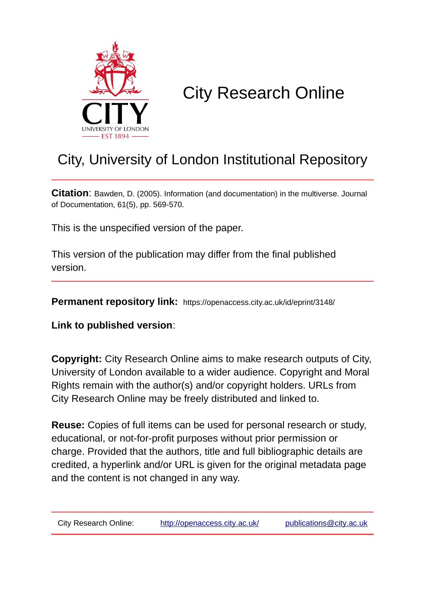

# City Research Online

## City, University of London Institutional Repository

**Citation**: Bawden, D. (2005). Information (and documentation) in the multiverse. Journal of Documentation, 61(5), pp. 569-570.

This is the unspecified version of the paper.

This version of the publication may differ from the final published version.

**Permanent repository link:** https://openaccess.city.ac.uk/id/eprint/3148/

**Link to published version**:

**Copyright:** City Research Online aims to make research outputs of City, University of London available to a wider audience. Copyright and Moral Rights remain with the author(s) and/or copyright holders. URLs from City Research Online may be freely distributed and linked to.

**Reuse:** Copies of full items can be used for personal research or study, educational, or not-for-profit purposes without prior permission or charge. Provided that the authors, title and full bibliographic details are credited, a hyperlink and/or URL is given for the original metadata page and the content is not changed in any way.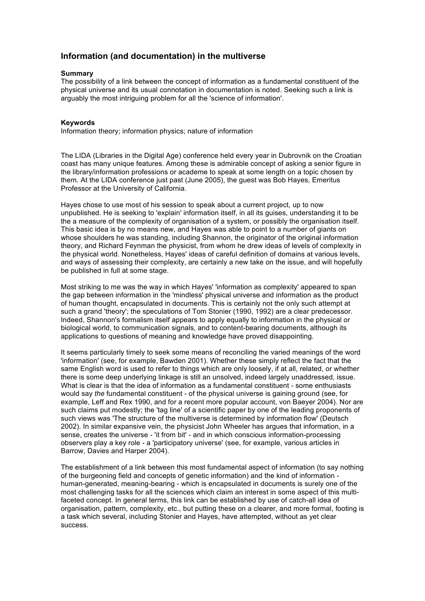### **Information (and documentation) in the multiverse**

#### **Summary**

The possibility of a link between the concept of information as a fundamental constituent of the physical universe and its usual connotation in documentation is noted. Seeking such a link is arguably the most intriguing problem for all the 'science of information'.

#### **Keywords**

Information theory; information physics; nature of information

The LIDA (Libraries in the Digital Age) conference held every year in Dubrovnik on the Croatian coast has many unique features. Among these is admirable concept of asking a senior figure in the library/information professions or academe to speak at some length on a topic chosen by them. At the LIDA conference just past (June 2005), the guest was Bob Hayes, Emeritus Professor at the University of California.

Hayes chose to use most of his session to speak about a current project, up to now unpublished. He is seeking to 'explain' information itself, in all its guises, understanding it to be the a measure of the complexity of organisation of a system, or possibly the organisation itself. This basic idea is by no means new, and Hayes was able to point to a number of giants on whose shoulders he was standing, including Shannon, the originator of the original information theory, and Richard Feynman the physicist, from whom he drew ideas of levels of complexity in the physical world. Nonetheless, Hayes' ideas of careful definition of domains at various levels, and ways of assessing their complexity, are certainly a new take on the issue, and will hopefully be published in full at some stage.

Most striking to me was the way in which Hayes' 'information as complexity' appeared to span the gap between information in the 'mindless' physical universe and information as the product of human thought, encapsulated in documents. This is certainly not the only such attempt at such a grand 'theory'; the speculations of Tom Stonier (1990, 1992) are a clear predecessor. Indeed, Shannon's formalism itself appears to apply equally to information in the physical or biological world, to communication signals, and to content-bearing documents, although its applications to questions of meaning and knowledge have proved disappointing.

It seems particularly timely to seek some means of reconciling the varied meanings of the word 'information' (see, for example, Bawden 2001). Whether these simply reflect the fact that the same English word is used to refer to things which are only loosely, if at all, related, or whether there is some deep underlying linkage is still an unsolved, indeed largely unaddressed, issue. What is clear is that the idea of information as a fundamental constituent - some enthusiasts would say *the* fundamental constituent - of the physical universe is gaining ground (see, for example, Leff and Rex 1990, and for a recent more popular account, von Baeyer 2004). Nor are such claims put modestly; the 'tag line' of a scientific paper by one of the leading proponents of such views was 'The structure of the multiverse is determined by information flow' (Deutsch 2002). In similar expansive vein, the physicist John Wheeler has argues that information, in a sense, creates the universe - 'it from bit' - and in which conscious information-processing observers play a key role - a 'participatory universe' (see, for example, various articles in Barrow, Davies and Harper 2004).

The establishment of a link between this most fundamental aspect of information (to say nothing of the burgeoning field and concepts of genetic information) and the kind of information human-generated, meaning-bearing - which is encapsulated in documents is surely one of the most challenging tasks for all the sciences which claim an interest in some aspect of this multifaceted concept. In general terms, this link can be established by use of catch-all idea of organisation, pattern, complexity, etc., but putting these on a clearer, and more formal, footing is a task which several, including Stonier and Hayes, have attempted, without as yet clear success.